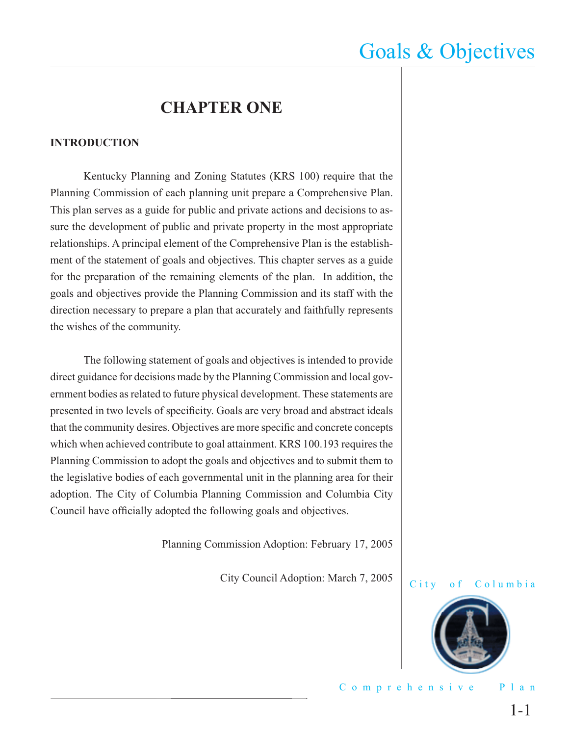### **CHAPTER ONE**

#### **INTRODUCTION**

 Kentucky Planning and Zoning Statutes (KRS 100) require that the Planning Commission of each planning unit prepare a Comprehensive Plan. This plan serves as a guide for public and private actions and decisions to assure the development of public and private property in the most appropriate relationships. A principal element of the Comprehensive Plan is the establishment of the statement of goals and objectives. This chapter serves as a guide for the preparation of the remaining elements of the plan. In addition, the goals and objectives provide the Planning Commission and its staff with the direction necessary to prepare a plan that accurately and faithfully represents the wishes of the community.

 The following statement of goals and objectives is intended to provide direct guidance for decisions made by the Planning Commission and local government bodies as related to future physical development. These statements are presented in two levels of specificity. Goals are very broad and abstract ideals that the community desires. Objectives are more specific and concrete concepts which when achieved contribute to goal attainment. KRS 100.193 requires the Planning Commission to adopt the goals and objectives and to submit them to the legislative bodies of each governmental unit in the planning area for their adoption. The City of Columbia Planning Commission and Columbia City Council have officially adopted the following goals and objectives.

Planning Commission Adoption: February 17, 2005

City Council Adoption: March 7, 2005



Comprehensive Plan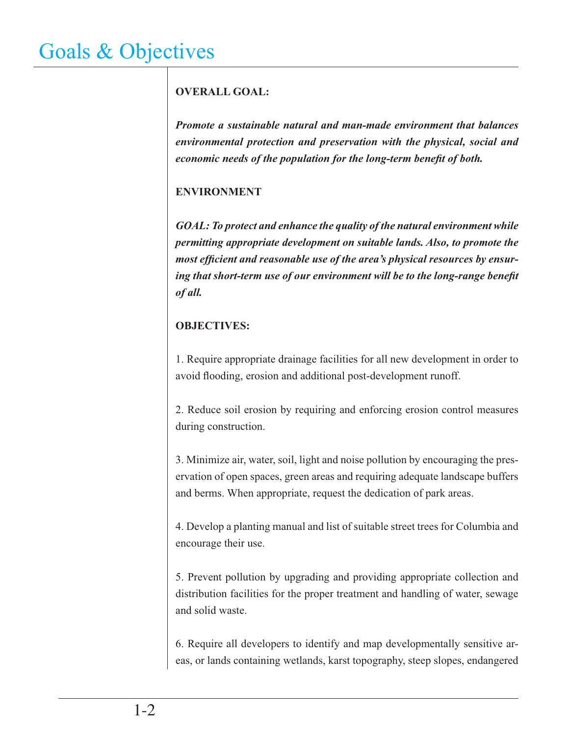### **OVERALL GOAL:**

*Promote a sustainable natural and man-made environment that balances environmental protection and preservation with the physical, social and economic needs of the population for the long-term benefit of both.* 

### **ENVIRONMENT**

*GOAL: To protect and enhance the quality of the natural environment while permitting appropriate development on suitable lands. Also, to promote the*  most efficient and reasonable use of the area's physical resources by ensuring that short-term use of our environment will be to the long-range benefit *of all.*

### **OBJECTIVES:**

1. Require appropriate drainage facilities for all new development in order to avoid flooding, erosion and additional post-development runoff.

2. Reduce soil erosion by requiring and enforcing erosion control measures during construction.

3. Minimize air, water, soil, light and noise pollution by encouraging the preservation of open spaces, green areas and requiring adequate landscape buffers and berms. When appropriate, request the dedication of park areas.

4. Develop a planting manual and list of suitable street trees for Columbia and encourage their use.

5. Prevent pollution by upgrading and providing appropriate collection and distribution facilities for the proper treatment and handling of water, sewage and solid waste.

6. Require all developers to identify and map developmentally sensitive areas, or lands containing wetlands, karst topography, steep slopes, endangered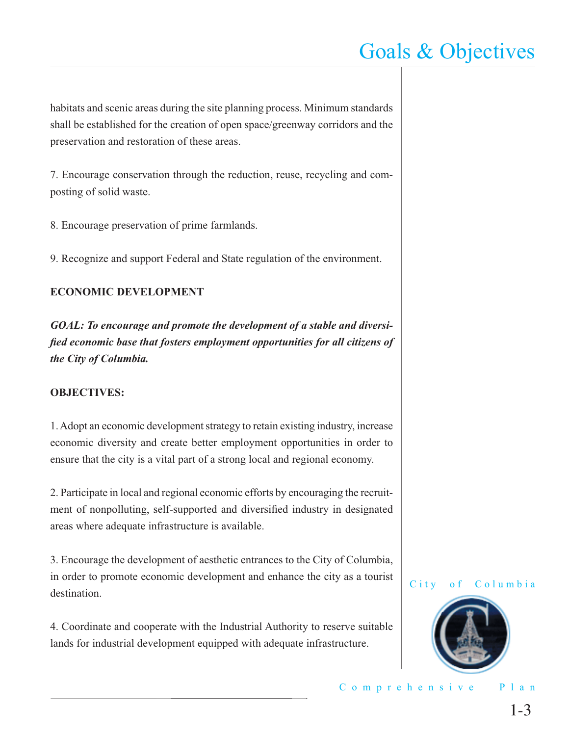habitats and scenic areas during the site planning process. Minimum standards shall be established for the creation of open space/greenway corridors and the preservation and restoration of these areas.

7. Encourage conservation through the reduction, reuse, recycling and composting of solid waste.

8. Encourage preservation of prime farmlands.

9. Recognize and support Federal and State regulation of the environment.

#### **ECONOMIC DEVELOPMENT**

*GOAL: To encourage and promote the development of a stable and diversified economic base that fosters employment opportunities for all citizens of the City of Columbia.*

#### **OBJECTIVES:**

1. Adopt an economic development strategy to retain existing industry, increase economic diversity and create better employment opportunities in order to ensure that the city is a vital part of a strong local and regional economy.

2. Participate in local and regional economic efforts by encouraging the recruitment of nonpolluting, self-supported and diversified industry in designated areas where adequate infrastructure is available.

3. Encourage the development of aesthetic entrances to the City of Columbia, in order to promote economic development and enhance the city as a tourist destination.

4. Coordinate and cooperate with the Industrial Authority to reserve suitable lands for industrial development equipped with adequate infrastructure.

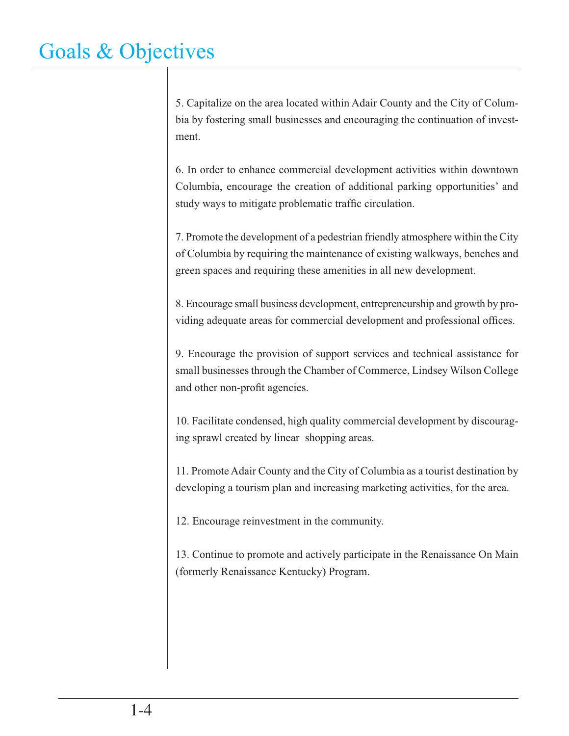5. Capitalize on the area located within Adair County and the City of Columbia by fostering small businesses and encouraging the continuation of investment.

6. In order to enhance commercial development activities within downtown Columbia, encourage the creation of additional parking opportunities' and study ways to mitigate problematic traffic circulation.

7. Promote the development of a pedestrian friendly atmosphere within the City of Columbia by requiring the maintenance of existing walkways, benches and green spaces and requiring these amenities in all new development.

8. Encourage small business development, entrepreneurship and growth by providing adequate areas for commercial development and professional offices.

9. Encourage the provision of support services and technical assistance for small businesses through the Chamber of Commerce, Lindsey Wilson College and other non-profit agencies.

10. Facilitate condensed, high quality commercial development by discouraging sprawl created by linear shopping areas.

11. Promote Adair County and the City of Columbia as a tourist destination by developing a tourism plan and increasing marketing activities, for the area.

12. Encourage reinvestment in the community.

13. Continue to promote and actively participate in the Renaissance On Main (formerly Renaissance Kentucky) Program.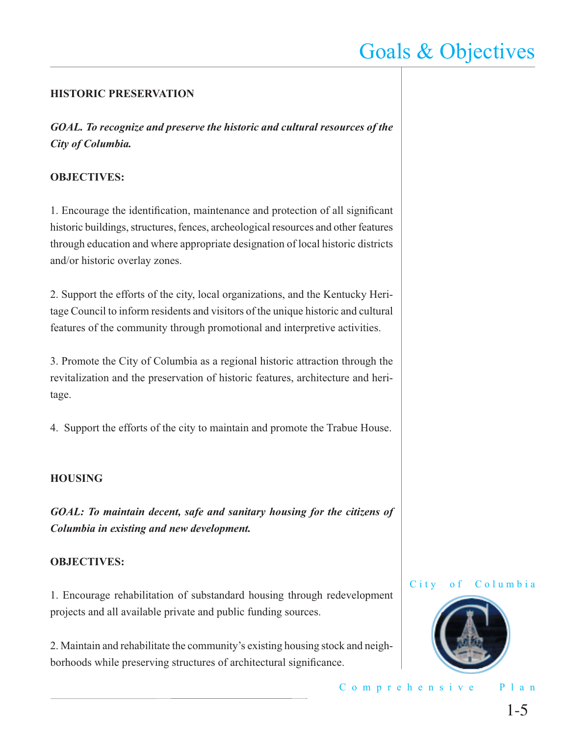#### **HISTORIC PRESERVATION**

*GOAL. To recognize and preserve the historic and cultural resources of the City of Columbia.*

#### **OBJECTIVES:**

1. Encourage the identification, maintenance and protection of all significant historic buildings, structures, fences, archeological resources and other features through education and where appropriate designation of local historic districts and/or historic overlay zones.

2. Support the efforts of the city, local organizations, and the Kentucky Heritage Council to inform residents and visitors of the unique historic and cultural features of the community through promotional and interpretive activities.

3. Promote the City of Columbia as a regional historic attraction through the revitalization and the preservation of historic features, architecture and heritage.

4. Support the efforts of the city to maintain and promote the Trabue House.

#### **HOUSING**

*GOAL: To maintain decent, safe and sanitary housing for the citizens of Columbia in existing and new development.*

#### **OBJECTIVES:**

1. Encourage rehabilitation of substandard housing through redevelopment projects and all available private and public funding sources.

2. Maintain and rehabilitate the community's existing housing stock and neighborhoods while preserving structures of architectural significance.





Comprehensive Plan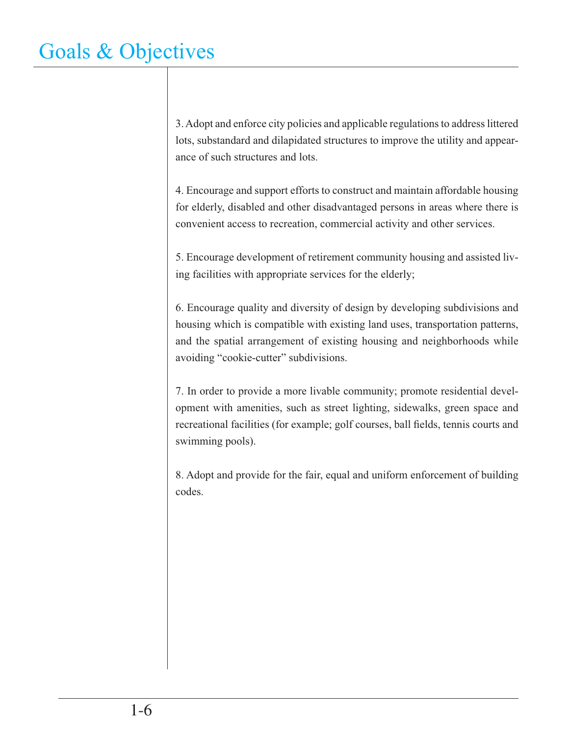3. Adopt and enforce city policies and applicable regulations to address littered lots, substandard and dilapidated structures to improve the utility and appearance of such structures and lots.

4. Encourage and support efforts to construct and maintain affordable housing for elderly, disabled and other disadvantaged persons in areas where there is convenient access to recreation, commercial activity and other services.

5. Encourage development of retirement community housing and assisted living facilities with appropriate services for the elderly;

6. Encourage quality and diversity of design by developing subdivisions and housing which is compatible with existing land uses, transportation patterns, and the spatial arrangement of existing housing and neighborhoods while avoiding "cookie-cutter" subdivisions.

7. In order to provide a more livable community; promote residential development with amenities, such as street lighting, sidewalks, green space and recreational facilities (for example; golf courses, ball fields, tennis courts and swimming pools).

8. Adopt and provide for the fair, equal and uniform enforcement of building codes.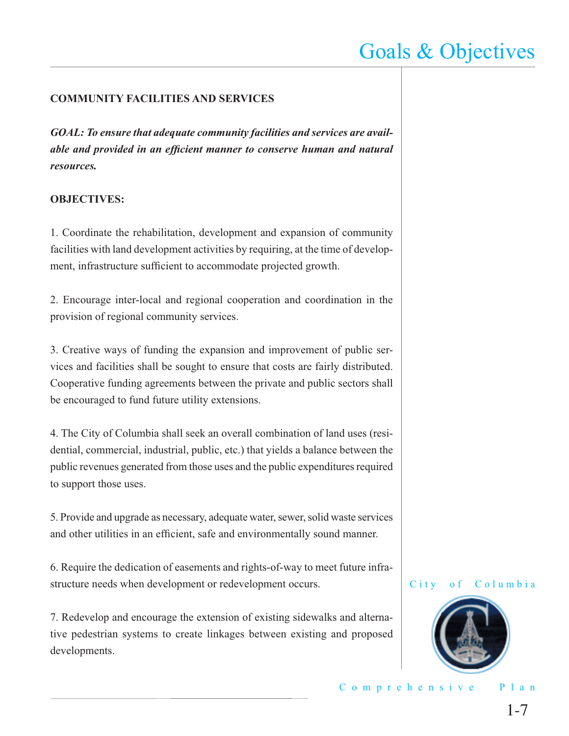### **COMMUNITY FACILITIES AND SERVICES**

*GOAL: To ensure that adequate community facilities and services are available and provided in an efficient manner to conserve human and natural resources.*

#### **OBJECTIVES:**

1. Coordinate the rehabilitation, development and expansion of community facilities with land development activities by requiring, at the time of development, infrastructure sufficient to accommodate projected growth.

2. Encourage inter-local and regional cooperation and coordination in the provision of regional community services.

3. Creative ways of funding the expansion and improvement of public services and facilities shall be sought to ensure that costs are fairly distributed. Cooperative funding agreements between the private and public sectors shall be encouraged to fund future utility extensions.

4. The City of Columbia shall seek an overall combination of land uses (residential, commercial, industrial, public, etc.) that yields a balance between the public revenues generated from those uses and the public expenditures required to support those uses.

5. Provide and upgrade as necessary, adequate water, sewer, solid waste services and other utilities in an efficient, safe and environmentally sound manner.

6. Require the dedication of easements and rights-of-way to meet future infrastructure needs when development or redevelopment occurs.

7. Redevelop and encourage the extension of existing sidewalks and alternative pedestrian systems to create linkages between existing and proposed developments.



City of Columbia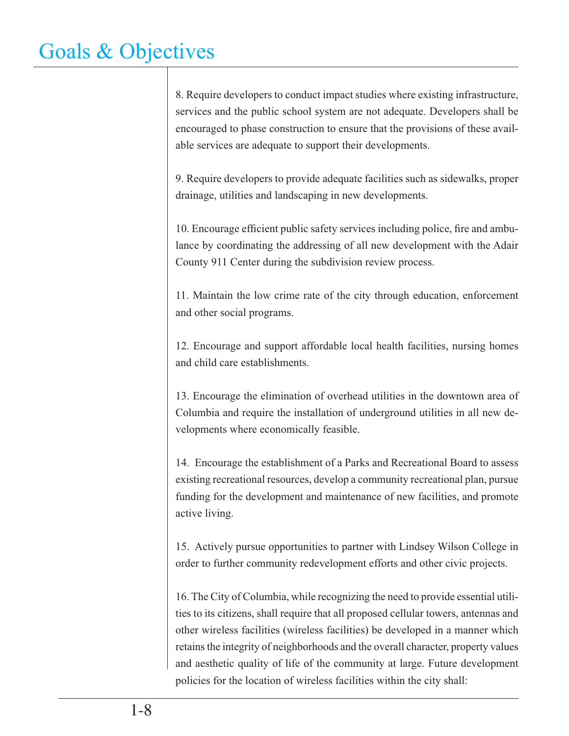8. Require developers to conduct impact studies where existing infrastructure, services and the public school system are not adequate. Developers shall be encouraged to phase construction to ensure that the provisions of these available services are adequate to support their developments.

9. Require developers to provide adequate facilities such as sidewalks, proper drainage, utilities and landscaping in new developments.

10. Encourage efficient public safety services including police, fire and ambulance by coordinating the addressing of all new development with the Adair County 911 Center during the subdivision review process.

11. Maintain the low crime rate of the city through education, enforcement and other social programs.

12. Encourage and support affordable local health facilities, nursing homes and child care establishments.

13. Encourage the elimination of overhead utilities in the downtown area of Columbia and require the installation of underground utilities in all new developments where economically feasible.

14. Encourage the establishment of a Parks and Recreational Board to assess existing recreational resources, develop a community recreational plan, pursue funding for the development and maintenance of new facilities, and promote active living.

15. Actively pursue opportunities to partner with Lindsey Wilson College in order to further community redevelopment efforts and other civic projects.

16. The City of Columbia, while recognizing the need to provide essential utilities to its citizens, shall require that all proposed cellular towers, antennas and other wireless facilities (wireless facilities) be developed in a manner which retains the integrity of neighborhoods and the overall character, property values and aesthetic quality of life of the community at large. Future development policies for the location of wireless facilities within the city shall: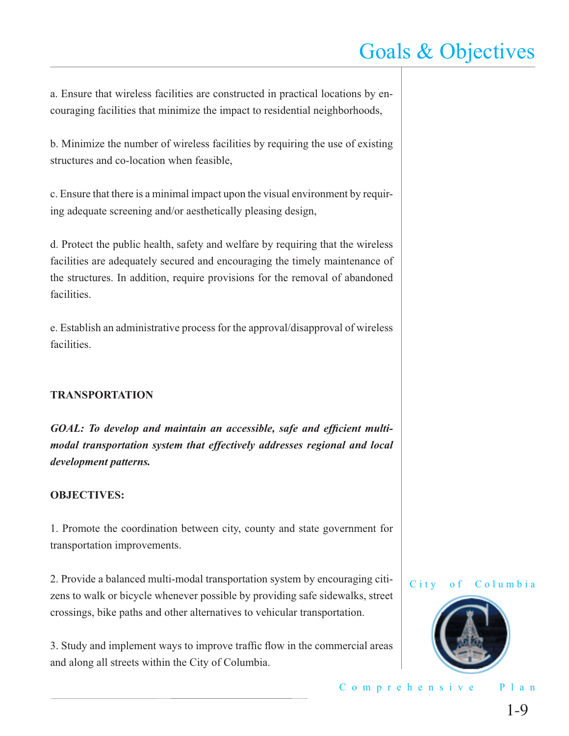a. Ensure that wireless facilities are constructed in practical locations by encouraging facilities that minimize the impact to residential neighborhoods,

b. Minimize the number of wireless facilities by requiring the use of existing structures and co-location when feasible,

c. Ensure that there is a minimal impact upon the visual environment by requiring adequate screening and/or aesthetically pleasing design,

d. Protect the public health, safety and welfare by requiring that the wireless facilities are adequately secured and encouraging the timely maintenance of the structures. In addition, require provisions for the removal of abandoned facilities.

e. Establish an administrative process for the approval/disapproval of wireless facilities.

#### **TRANSPORTATION**

GOAL: To develop and maintain an accessible, safe and efficient multi*modal transportation system that effectively addresses regional and local development patterns.*

#### **OBJECTIVES:**

1. Promote the coordination between city, county and state government for transportation improvements.

2. Provide a balanced multi-modal transportation system by encouraging citizens to walk or bicycle whenever possible by providing safe sidewalks, street crossings, bike paths and other alternatives to vehicular transportation.

3. Study and implement ways to improve traffic flow in the commercial areas and along all streets within the City of Columbia.



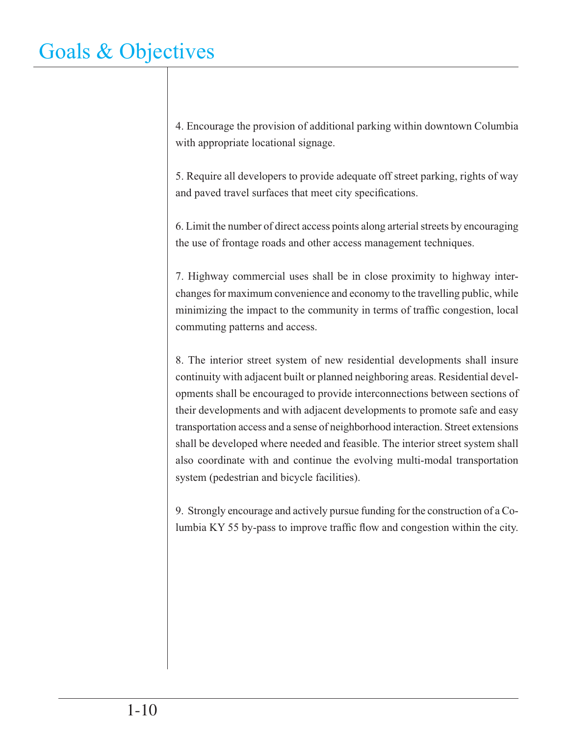4. Encourage the provision of additional parking within downtown Columbia with appropriate locational signage.

5. Require all developers to provide adequate off street parking, rights of way and paved travel surfaces that meet city specifications.

6. Limit the number of direct access points along arterial streets by encouraging the use of frontage roads and other access management techniques.

7. Highway commercial uses shall be in close proximity to highway interchanges for maximum convenience and economy to the travelling public, while minimizing the impact to the community in terms of traffic congestion, local commuting patterns and access.

8. The interior street system of new residential developments shall insure continuity with adjacent built or planned neighboring areas. Residential developments shall be encouraged to provide interconnections between sections of their developments and with adjacent developments to promote safe and easy transportation access and a sense of neighborhood interaction. Street extensions shall be developed where needed and feasible. The interior street system shall also coordinate with and continue the evolving multi-modal transportation system (pedestrian and bicycle facilities).

9. Strongly encourage and actively pursue funding for the construction of a Columbia KY 55 by-pass to improve traffic flow and congestion within the city.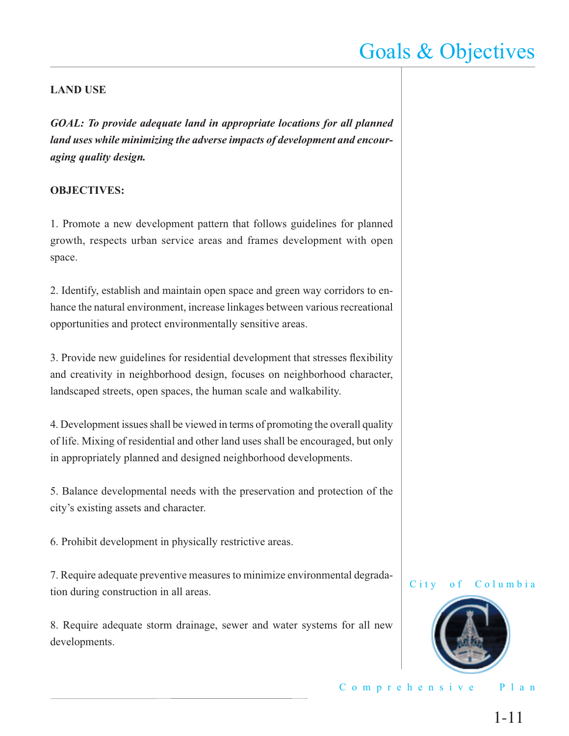#### **LAND USE**

*GOAL: To provide adequate land in appropriate locations for all planned land uses while minimizing the adverse impacts of development and encouraging quality design.*

#### **OBJECTIVES:**

1. Promote a new development pattern that follows guidelines for planned growth, respects urban service areas and frames development with open space.

2. Identify, establish and maintain open space and green way corridors to enhance the natural environment, increase linkages between various recreational opportunities and protect environmentally sensitive areas.

3. Provide new guidelines for residential development that stresses flexibility and creativity in neighborhood design, focuses on neighborhood character, landscaped streets, open spaces, the human scale and walkability.

4. Development issues shall be viewed in terms of promoting the overall quality of life. Mixing of residential and other land uses shall be encouraged, but only in appropriately planned and designed neighborhood developments.

5. Balance developmental needs with the preservation and protection of the city's existing assets and character.

6. Prohibit development in physically restrictive areas.

7. Require adequate preventive measures to minimize environmental degradation during construction in all areas.

8. Require adequate storm drainage, sewer and water systems for all new developments.